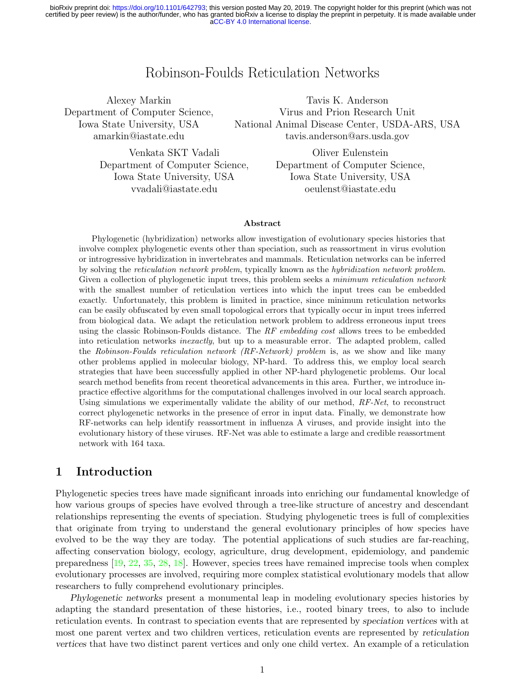# Robinson-Foulds Reticulation Networks

Alexey Markin

Department of Computer Science, Iowa State University, USA amarkin@iastate.edu

Tavis K. Anderson Virus and Prion Research Unit National Animal Disease Center, USDA-ARS, USA tavis.anderson@ars.usda.gov

Venkata SKT Vadali Department of Computer Science, Iowa State University, USA vvadali@iastate.edu

Oliver Eulenstein Department of Computer Science, Iowa State University, USA oeulenst@iastate.edu

### Abstract

Phylogenetic (hybridization) networks allow investigation of evolutionary species histories that involve complex phylogenetic events other than speciation, such as reassortment in virus evolution or introgressive hybridization in invertebrates and mammals. Reticulation networks can be inferred by solving the reticulation network problem, typically known as the hybridization network problem. Given a collection of phylogenetic input trees, this problem seeks a *minimum reticulation network* with the smallest number of reticulation vertices into which the input trees can be embedded exactly. Unfortunately, this problem is limited in practice, since minimum reticulation networks can be easily obfuscated by even small topological errors that typically occur in input trees inferred from biological data. We adapt the reticulation network problem to address erroneous input trees using the classic Robinson-Foulds distance. The RF embedding cost allows trees to be embedded into reticulation networks inexactly, but up to a measurable error. The adapted problem, called the Robinson-Foulds reticulation network (RF-Network) problem is, as we show and like many other problems applied in molecular biology, NP-hard. To address this, we employ local search strategies that have been successfully applied in other NP-hard phylogenetic problems. Our local search method benefits from recent theoretical advancements in this area. Further, we introduce inpractice effective algorithms for the computational challenges involved in our local search approach. Using simulations we experimentally validate the ability of our method,  $RF-Net$ , to reconstruct correct phylogenetic networks in the presence of error in input data. Finally, we demonstrate how RF-networks can help identify reassortment in influenza A viruses, and provide insight into the evolutionary history of these viruses. RF-Net was able to estimate a large and credible reassortment network with 164 taxa.

# 1 Introduction

Phylogenetic species trees have made significant inroads into enriching our fundamental knowledge of how various groups of species have evolved through a tree-like structure of ancestry and descendant relationships representing the events of speciation. Studying phylogenetic trees is full of complexities that originate from trying to understand the general evolutionary principles of how species have evolved to be the way they are today. The potential applications of such studies are far-reaching, affecting conservation biology, ecology, agriculture, drug development, epidemiology, and pandemic preparedness [\[19,](#page-14-0) [22,](#page-14-1) [35,](#page-15-0) [28,](#page-14-2) [18\]](#page-14-3). However, species trees have remained imprecise tools when complex evolutionary processes are involved, requiring more complex statistical evolutionary models that allow researchers to fully comprehend evolutionary principles.

Phylogenetic networks present a monumental leap in modeling evolutionary species histories by adapting the standard presentation of these histories, i.e., rooted binary trees, to also to include reticulation events. In contrast to speciation events that are represented by speciation vertices with at most one parent vertex and two children vertices, reticulation events are represented by reticulation vertices that have two distinct parent vertices and only one child vertex. An example of a reticulation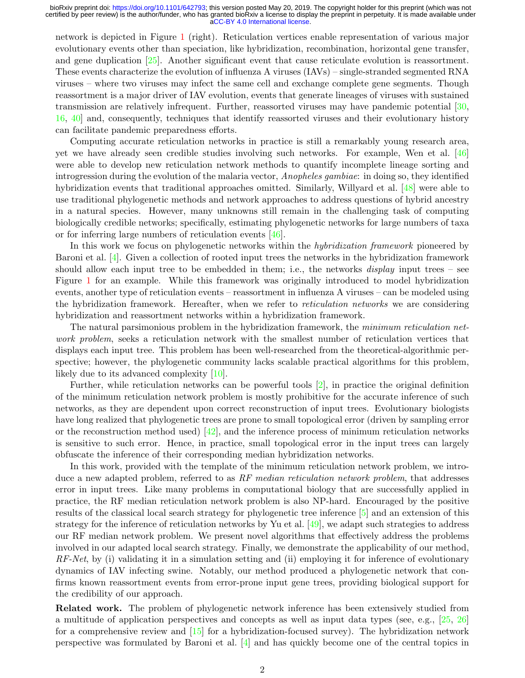network is depicted in Figure [1](#page-3-0) (right). Reticulation vertices enable representation of various major evolutionary events other than speciation, like hybridization, recombination, horizontal gene transfer, and gene duplication [\[25\]](#page-14-4). Another significant event that cause reticulate evolution is reassortment. These events characterize the evolution of influenza A viruses (IAVs) – single-stranded segmented RNA viruses – where two viruses may infect the same cell and exchange complete gene segments. Though reassortment is a major driver of IAV evolution, events that generate lineages of viruses with sustained transmission are relatively infrequent. Further, reassorted viruses may have pandemic potential [\[30,](#page-15-1) [16,](#page-14-5) [40\]](#page-15-2) and, consequently, techniques that identify reassorted viruses and their evolutionary history can facilitate pandemic preparedness efforts.

Computing accurate reticulation networks in practice is still a remarkably young research area, yet we have already seen credible studies involving such networks. For example, Wen et al. [\[46\]](#page-16-0) were able to develop new reticulation network methods to quantify incomplete lineage sorting and introgression during the evolution of the malaria vector, Anopheles gambiae: in doing so, they identified hybridization events that traditional approaches omitted. Similarly, Willyard et al. [\[48\]](#page-16-1) were able to use traditional phylogenetic methods and network approaches to address questions of hybrid ancestry in a natural species. However, many unknowns still remain in the challenging task of computing biologically credible networks; specifically, estimating phylogenetic networks for large numbers of taxa or for inferring large numbers of reticulation events [\[46\]](#page-16-0).

In this work we focus on phylogenetic networks within the *hybridization framework* pioneered by Baroni et al. [\[4\]](#page-13-0). Given a collection of rooted input trees the networks in the hybridization framework should allow each input tree to be embedded in them; i.e., the networks *display* input trees – see Figure [1](#page-3-0) for an example. While this framework was originally introduced to model hybridization events, another type of reticulation events – reassortment in influenza A viruses – can be modeled using the hybridization framework. Hereafter, when we refer to *reticulation networks* we are considering hybridization and reassortment networks within a hybridization framework.

The natural parsimonious problem in the hybridization framework, the minimum reticulation network problem, seeks a reticulation network with the smallest number of reticulation vertices that displays each input tree. This problem has been well-researched from the theoretical-algorithmic perspective; however, the phylogenetic community lacks scalable practical algorithms for this problem, likely due to its advanced complexity [\[10\]](#page-13-1).

Further, while reticulation networks can be powerful tools [\[2\]](#page-13-2), in practice the original definition of the minimum reticulation network problem is mostly prohibitive for the accurate inference of such networks, as they are dependent upon correct reconstruction of input trees. Evolutionary biologists have long realized that phylogenetic trees are prone to small topological error (driven by sampling error or the reconstruction method used)  $[42]$ , and the inference process of minimum reticulation networks is sensitive to such error. Hence, in practice, small topological error in the input trees can largely obfuscate the inference of their corresponding median hybridization networks.

In this work, provided with the template of the minimum reticulation network problem, we introduce a new adapted problem, referred to as  $RF$  median reticulation network problem, that addresses error in input trees. Like many problems in computational biology that are successfully applied in practice, the RF median reticulation network problem is also NP-hard. Encouraged by the positive results of the classical local search strategy for phylogenetic tree inference [\[5\]](#page-13-3) and an extension of this strategy for the inference of reticulation networks by Yu et al. [\[49\]](#page-16-2), we adapt such strategies to address our RF median network problem. We present novel algorithms that effectively address the problems involved in our adapted local search strategy. Finally, we demonstrate the applicability of our method,  $RF-Net$ , by (i) validating it in a simulation setting and (ii) employing it for inference of evolutionary dynamics of IAV infecting swine. Notably, our method produced a phylogenetic network that confirms known reassortment events from error-prone input gene trees, providing biological support for the credibility of our approach.

Related work. The problem of phylogenetic network inference has been extensively studied from a multitude of application perspectives and concepts as well as input data types (see, e.g.,  $[25, 26]$  $[25, 26]$  $[25, 26]$ ) for a comprehensive review and [\[15\]](#page-14-7) for a hybridization-focused survey). The hybridization network perspective was formulated by Baroni et al. [\[4\]](#page-13-0) and has quickly become one of the central topics in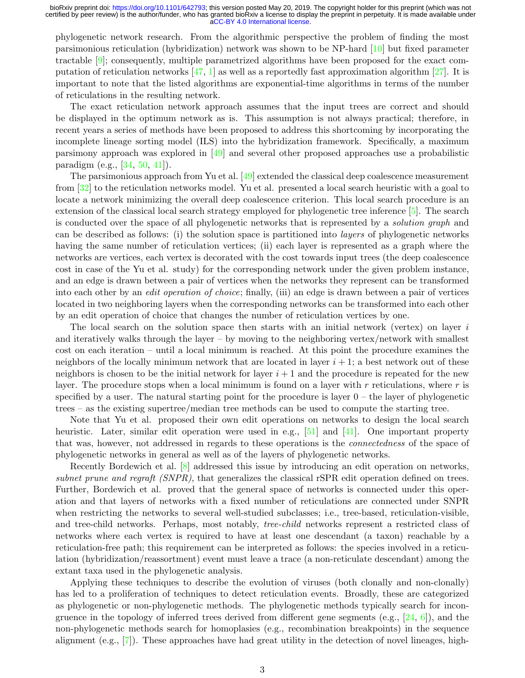phylogenetic network research. From the algorithmic perspective the problem of finding the most parsimonious reticulation (hybridization) network was shown to be NP-hard [\[10\]](#page-13-1) but fixed parameter tractable [\[9\]](#page-13-4); consequently, multiple parametrized algorithms have been proposed for the exact computation of reticulation networks  $[47, 1]$  $[47, 1]$  $[47, 1]$  as well as a reportedly fast approximation algorithm  $[27]$ . It is important to note that the listed algorithms are exponential-time algorithms in terms of the number of reticulations in the resulting network.

The exact reticulation network approach assumes that the input trees are correct and should be displayed in the optimum network as is. This assumption is not always practical; therefore, in recent years a series of methods have been proposed to address this shortcoming by incorporating the incomplete lineage sorting model (ILS) into the hybridization framework. Specifically, a maximum parsimony approach was explored in [\[49\]](#page-16-2) and several other proposed approaches use a probabilistic paradigm (e.g., [\[34,](#page-15-4) [50,](#page-16-4) [41\]](#page-15-5)).

The parsimonious approach from Yu et al. [\[49\]](#page-16-2) extended the classical deep coalescence measurement from [\[32\]](#page-15-6) to the reticulation networks model. Yu et al. presented a local search heuristic with a goal to locate a network minimizing the overall deep coalescence criterion. This local search procedure is an extension of the classical local search strategy employed for phylogenetic tree inference [\[5\]](#page-13-3). The search is conducted over the space of all phylogenetic networks that is represented by a solution graph and can be described as follows: (i) the solution space is partitioned into layers of phylogenetic networks having the same number of reticulation vertices; (ii) each layer is represented as a graph where the networks are vertices, each vertex is decorated with the cost towards input trees (the deep coalescence cost in case of the Yu et al. study) for the corresponding network under the given problem instance, and an edge is drawn between a pair of vertices when the networks they represent can be transformed into each other by an edit operation of choice; finally, (iii) an edge is drawn between a pair of vertices located in two neighboring layers when the corresponding networks can be transformed into each other by an edit operation of choice that changes the number of reticulation vertices by one.

The local search on the solution space then starts with an initial network (vertex) on layer  $i$ and iteratively walks through the layer – by moving to the neighboring vertex/network with smallest cost on each iteration – until a local minimum is reached. At this point the procedure examines the neighbors of the locally minimum network that are located in layer  $i + 1$ ; a best network out of these neighbors is chosen to be the initial network for layer  $i + 1$  and the procedure is repeated for the new layer. The procedure stops when a local minimum is found on a layer with  $r$  reticulations, where  $r$  is specified by a user. The natural starting point for the procedure is layer  $0$  – the layer of phylogenetic trees – as the existing supertree/median tree methods can be used to compute the starting tree.

Note that Yu et al. proposed their own edit operations on networks to design the local search heuristic. Later, similar edit operation were used in e.g., [\[51\]](#page-16-5) and [\[41\]](#page-15-5). One important property that was, however, not addressed in regards to these operations is the connectedness of the space of phylogenetic networks in general as well as of the layers of phylogenetic networks.

Recently Bordewich et al. [\[8\]](#page-13-6) addressed this issue by introducing an edit operation on networks, subnet prune and regraft  $(SNPR)$ , that generalizes the classical rSPR edit operation defined on trees. Further, Bordewich et al. proved that the general space of networks is connected under this operation and that layers of networks with a fixed number of reticulations are connected under SNPR when restricting the networks to several well-studied subclasses; i.e., tree-based, reticulation-visible, and tree-child networks. Perhaps, most notably, *tree-child* networks represent a restricted class of networks where each vertex is required to have at least one descendant (a taxon) reachable by a reticulation-free path; this requirement can be interpreted as follows: the species involved in a reticulation (hybridization/reassortment) event must leave a trace (a non-reticulate descendant) among the extant taxa used in the phylogenetic analysis.

Applying these techniques to describe the evolution of viruses (both clonally and non-clonally) has led to a proliferation of techniques to detect reticulation events. Broadly, these are categorized as phylogenetic or non-phylogenetic methods. The phylogenetic methods typically search for incongruence in the topology of inferred trees derived from different gene segments (e.g.,  $[24, 6]$  $[24, 6]$  $[24, 6]$ ), and the non-phylogenetic methods search for homoplasies (e.g., recombination breakpoints) in the sequence alignment (e.g., [\[7\]](#page-13-8)). These approaches have had great utility in the detection of novel lineages, high-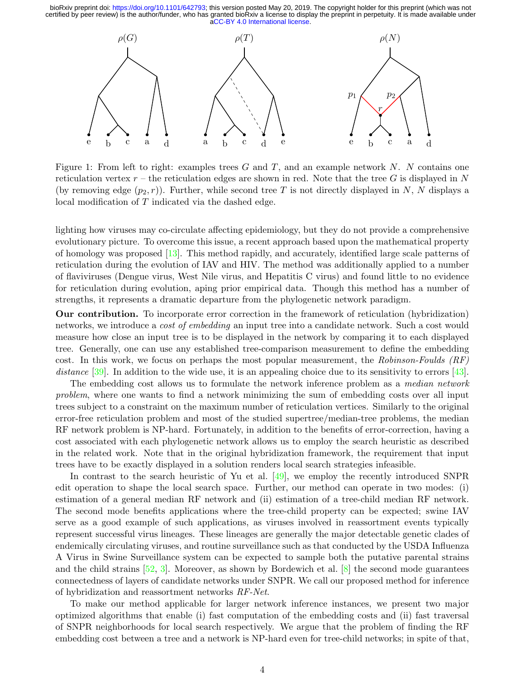<span id="page-3-0"></span>

Figure 1: From left to right: examples trees G and T, and an example network N. N contains one reticulation vertex  $r$  – the reticulation edges are shown in red. Note that the tree G is displayed in N (by removing edge  $(p_2, r)$ ). Further, while second tree T is not directly displayed in N, N displays a local modification of T indicated via the dashed edge.

lighting how viruses may co-circulate affecting epidemiology, but they do not provide a comprehensive evolutionary picture. To overcome this issue, a recent approach based upon the mathematical property of homology was proposed [\[13\]](#page-14-10). This method rapidly, and accurately, identified large scale patterns of reticulation during the evolution of IAV and HIV. The method was additionally applied to a number of flaviviruses (Dengue virus, West Nile virus, and Hepatitis C virus) and found little to no evidence for reticulation during evolution, aping prior empirical data. Though this method has a number of strengths, it represents a dramatic departure from the phylogenetic network paradigm.

Our contribution. To incorporate error correction in the framework of reticulation (hybridization) networks, we introduce a *cost of embedding* an input tree into a candidate network. Such a cost would measure how close an input tree is to be displayed in the network by comparing it to each displayed tree. Generally, one can use any established tree-comparison measurement to define the embedding cost. In this work, we focus on perhaps the most popular measurement, the Robinson-Foulds (RF) distance [\[39\]](#page-15-7). In addition to the wide use, it is an appealing choice due to its sensitivity to errors [\[43\]](#page-15-8).

The embedding cost allows us to formulate the network inference problem as a *median network* problem, where one wants to find a network minimizing the sum of embedding costs over all input trees subject to a constraint on the maximum number of reticulation vertices. Similarly to the original error-free reticulation problem and most of the studied supertree/median-tree problems, the median RF network problem is NP-hard. Fortunately, in addition to the benefits of error-correction, having a cost associated with each phylogenetic network allows us to employ the search heuristic as described in the related work. Note that in the original hybridization framework, the requirement that input trees have to be exactly displayed in a solution renders local search strategies infeasible.

In contrast to the search heuristic of Yu et al. [\[49\]](#page-16-2), we employ the recently introduced SNPR edit operation to shape the local search space. Further, our method can operate in two modes: (i) estimation of a general median RF network and (ii) estimation of a tree-child median RF network. The second mode benefits applications where the tree-child property can be expected; swine IAV serve as a good example of such applications, as viruses involved in reassortment events typically represent successful virus lineages. These lineages are generally the major detectable genetic clades of endemically circulating viruses, and routine surveillance such as that conducted by the USDA Influenza A Virus in Swine Surveillance system can be expected to sample both the putative parental strains and the child strains  $[52, 3]$  $[52, 3]$  $[52, 3]$ . Moreover, as shown by Bordewich et al.  $[8]$  the second mode guarantees connectedness of layers of candidate networks under SNPR. We call our proposed method for inference of hybridization and reassortment networks RF-Net.

To make our method applicable for larger network inference instances, we present two major optimized algorithms that enable (i) fast computation of the embedding costs and (ii) fast traversal of SNPR neighborhoods for local search respectively. We argue that the problem of finding the RF embedding cost between a tree and a network is NP-hard even for tree-child networks; in spite of that,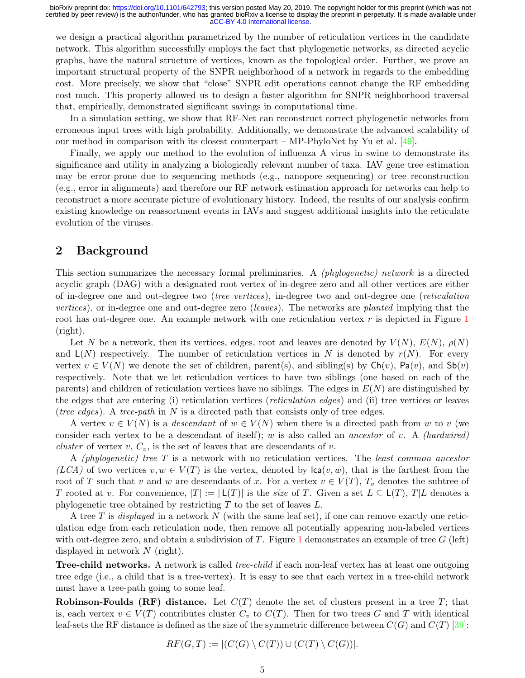we design a practical algorithm parametrized by the number of reticulation vertices in the candidate network. This algorithm successfully employs the fact that phylogenetic networks, as directed acyclic graphs, have the natural structure of vertices, known as the topological order. Further, we prove an important structural property of the SNPR neighborhood of a network in regards to the embedding cost. More precisely, we show that "close" SNPR edit operations cannot change the RF embedding cost much. This property allowed us to design a faster algorithm for SNPR neighborhood traversal that, empirically, demonstrated significant savings in computational time.

In a simulation setting, we show that RF-Net can reconstruct correct phylogenetic networks from erroneous input trees with high probability. Additionally, we demonstrate the advanced scalability of our method in comparison with its closest counterpart – MP-PhyloNet by Yu et al. [\[49\]](#page-16-2).

Finally, we apply our method to the evolution of influenza A virus in swine to demonstrate its significance and utility in analyzing a biologically relevant number of taxa. IAV gene tree estimation may be error-prone due to sequencing methods (e.g., nanopore sequencing) or tree reconstruction (e.g., error in alignments) and therefore our RF network estimation approach for networks can help to reconstruct a more accurate picture of evolutionary history. Indeed, the results of our analysis confirm existing knowledge on reassortment events in IAVs and suggest additional insights into the reticulate evolution of the viruses.

# 2 Background

This section summarizes the necessary formal preliminaries. A (phylogenetic) network is a directed acyclic graph (DAG) with a designated root vertex of in-degree zero and all other vertices are either of in-degree one and out-degree two (tree vertices), in-degree two and out-degree one (reticulation vertices), or in-degree one and out-degree zero *(leaves)*. The networks are *planted* implying that the root has out-degree one. An example network with one reticulation vertex  $r$  is depicted in Figure [1](#page-3-0) (right).

Let N be a network, then its vertices, edges, root and leaves are denoted by  $V(N)$ ,  $E(N)$ ,  $\rho(N)$ and  $\mathsf{L}(N)$  respectively. The number of reticulation vertices in N is denoted by  $r(N)$ . For every vertex  $v \in V(N)$  we denote the set of children, parent(s), and sibling(s) by  $\mathsf{Ch}(v)$ ,  $\mathsf{Pa}(v)$ , and  $\mathsf{Sb}(v)$ respectively. Note that we let reticulation vertices to have two siblings (one based on each of the parents) and children of reticulation vertices have no siblings. The edges in  $E(N)$  are distinguished by the edges that are entering (i) reticulation vertices (reticulation edges ) and (ii) tree vertices or leaves (tree edges). A tree-path in N is a directed path that consists only of tree edges.

A vertex  $v \in V(N)$  is a *descendant* of  $w \in V(N)$  when there is a directed path from w to v (we consider each vertex to be a descendant of itself); w is also called an *ancestor* of v. A *(hardwired)* cluster of vertex  $v, C_v$ , is the set of leaves that are descendants of  $v$ .

A (phylogenetic) tree T is a network with no reticulation vertices. The least common ancestor (LCA) of two vertices  $v, w \in V(T)$  is the vertex, denoted by  $lca(v, w)$ , that is the farthest from the root of T such that v and w are descendants of x. For a vertex  $v \in V(T)$ ,  $T_v$  denotes the subtree of T rooted at v. For convenience,  $|T| := |\mathsf{L}(T)|$  is the size of T. Given a set  $L \subseteq \mathsf{L}(T), T | L$  denotes a phylogenetic tree obtained by restricting  $T$  to the set of leaves  $L$ .

A tree T is *displayed* in a network N (with the same leaf set), if one can remove exactly one reticulation edge from each reticulation node, then remove all potentially appearing non-labeled vertices with out-degree zero, and obtain a subdivision of T. Figure [1](#page-3-0) demonstrates an example of tree G (left) displayed in network N (right).

**Tree-child networks.** A network is called *tree-child* if each non-leaf vertex has at least one outgoing tree edge (i.e., a child that is a tree-vertex). It is easy to see that each vertex in a tree-child network must have a tree-path going to some leaf.

**Robinson-Foulds (RF) distance.** Let  $C(T)$  denote the set of clusters present in a tree T; that is, each vertex  $v \in V(T)$  contributes cluster  $C_v$  to  $C(T)$ . Then for two trees G and T with identical leaf-sets the RF distance is defined as the size of the symmetric difference between  $C(G)$  and  $C(T)$  [\[39\]](#page-15-7):

$$
RF(G,T):=|(C(G)\setminus C(T))\cup (C(T)\setminus C(G))|.
$$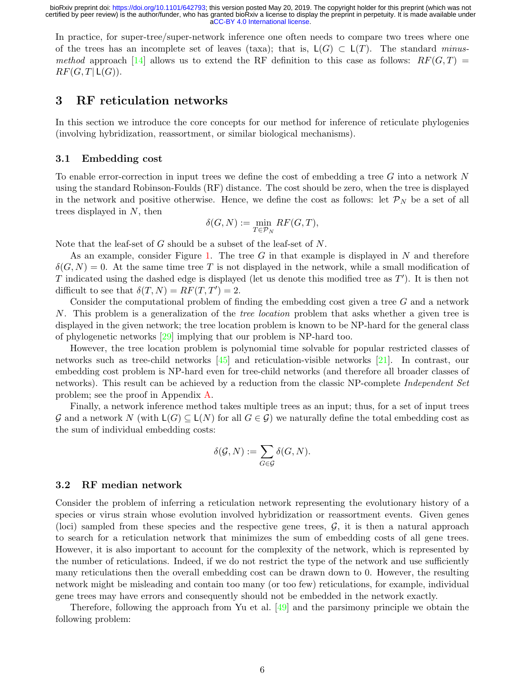In practice, for super-tree/super-network inference one often needs to compare two trees where one of the trees has an incomplete set of leaves (taxa); that is,  $L(G) \subset L(T)$ . The standard minus*method* approach [\[14\]](#page-14-11) allows us to extend the RF definition to this case as follows:  $RF(G,T)$  =  $RF(G, T | L(G)).$ 

# 3 RF reticulation networks

In this section we introduce the core concepts for our method for inference of reticulate phylogenies (involving hybridization, reassortment, or similar biological mechanisms).

### 3.1 Embedding cost

To enable error-correction in input trees we define the cost of embedding a tree G into a network N using the standard Robinson-Foulds (RF) distance. The cost should be zero, when the tree is displayed in the network and positive otherwise. Hence, we define the cost as follows: let  $\mathcal{P}_N$  be a set of all trees displayed in N, then

$$
\delta(G,N):=\min_{T\in {\mathcal P}_N} RF(G,T),
$$

Note that the leaf-set of G should be a subset of the leaf-set of N.

As an example, consider Figure [1.](#page-3-0) The tree G in that example is displayed in N and therefore  $\delta(G, N) = 0$ . At the same time tree T is not displayed in the network, while a small modification of T indicated using the dashed edge is displayed (let us denote this modified tree as  $T'$ ). It is then not difficult to see that  $\delta(T, N) = RF(T, T') = 2$ .

Consider the computational problem of finding the embedding cost given a tree  $G$  and a network N. This problem is a generalization of the *tree location* problem that asks whether a given tree is displayed in the given network; the tree location problem is known to be NP-hard for the general class of phylogenetic networks [\[29\]](#page-15-9) implying that our problem is NP-hard too.

However, the tree location problem is polynomial time solvable for popular restricted classes of networks such as tree-child networks [\[45\]](#page-16-7) and reticulation-visible networks [\[21\]](#page-14-12). In contrast, our embedding cost problem is NP-hard even for tree-child networks (and therefore all broader classes of networks). This result can be achieved by a reduction from the classic NP-complete *Independent Set* problem; see the proof in Appendix [A.](#page-17-0)

Finally, a network inference method takes multiple trees as an input; thus, for a set of input trees G and a network N (with  $\mathsf{L}(G) \subseteq \mathsf{L}(N)$  for all  $G \in \mathcal{G}$ ) we naturally define the total embedding cost as the sum of individual embedding costs:

$$
\delta(\mathcal{G},N):=\sum_{G\in\mathcal{G}}\delta(G,N).
$$

### 3.2 RF median network

Consider the problem of inferring a reticulation network representing the evolutionary history of a species or virus strain whose evolution involved hybridization or reassortment events. Given genes (loci) sampled from these species and the respective gene trees,  $\mathcal{G}$ , it is then a natural approach to search for a reticulation network that minimizes the sum of embedding costs of all gene trees. However, it is also important to account for the complexity of the network, which is represented by the number of reticulations. Indeed, if we do not restrict the type of the network and use sufficiently many reticulations then the overall embedding cost can be drawn down to 0. However, the resulting network might be misleading and contain too many (or too few) reticulations, for example, individual gene trees may have errors and consequently should not be embedded in the network exactly.

Therefore, following the approach from Yu et al. [\[49\]](#page-16-2) and the parsimony principle we obtain the following problem: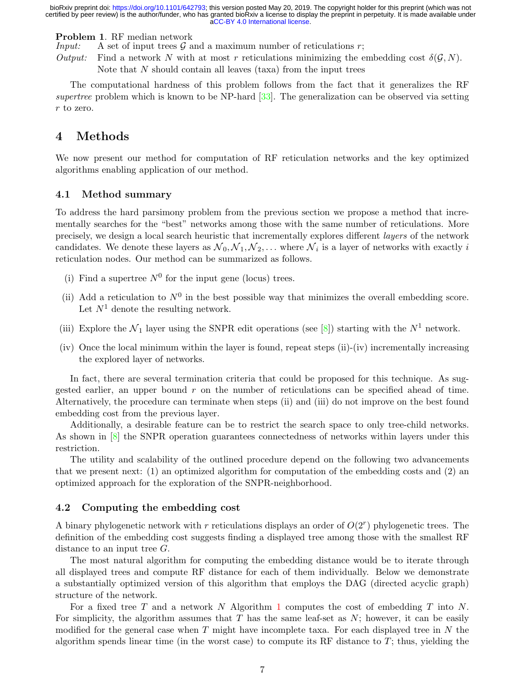Problem 1. RF median network

*Input:* A set of input trees  $\mathcal G$  and a maximum number of reticulations  $r$ ;

Output: Find a network N with at most r reticulations minimizing the embedding cost  $\delta(\mathcal{G}, N)$ . Note that  $N$  should contain all leaves (taxa) from the input trees

The computational hardness of this problem follows from the fact that it generalizes the RF supertree problem which is known to be NP-hard  $[33]$ . The generalization can be observed via setting r to zero.

# 4 Methods

We now present our method for computation of RF reticulation networks and the key optimized algorithms enabling application of our method.

## 4.1 Method summary

To address the hard parsimony problem from the previous section we propose a method that incrementally searches for the "best" networks among those with the same number of reticulations. More precisely, we design a local search heuristic that incrementally explores different layers of the network candidates. We denote these layers as  $\mathcal{N}_0, \mathcal{N}_1, \mathcal{N}_2, \ldots$  where  $\mathcal{N}_i$  is a layer of networks with exactly i reticulation nodes. Our method can be summarized as follows.

- (i) Find a supertree  $N^0$  for the input gene (locus) trees.
- (ii) Add a reticulation to  $N^0$  in the best possible way that minimizes the overall embedding score. Let  $N^1$  denote the resulting network.
- (iii) Explore the  $\mathcal{N}_1$  layer using the SNPR edit operations (see [\[8\]](#page-13-6)) starting with the  $N^1$  network.
- (iv) Once the local minimum within the layer is found, repeat steps (ii)-(iv) incrementally increasing the explored layer of networks.

In fact, there are several termination criteria that could be proposed for this technique. As suggested earlier, an upper bound  $r$  on the number of reticulations can be specified ahead of time. Alternatively, the procedure can terminate when steps (ii) and (iii) do not improve on the best found embedding cost from the previous layer.

Additionally, a desirable feature can be to restrict the search space to only tree-child networks. As shown in [\[8\]](#page-13-6) the SNPR operation guarantees connectedness of networks within layers under this restriction.

The utility and scalability of the outlined procedure depend on the following two advancements that we present next: (1) an optimized algorithm for computation of the embedding costs and (2) an optimized approach for the exploration of the SNPR-neighborhood.

### 4.2 Computing the embedding cost

A binary phylogenetic network with r reticulations displays an order of  $O(2<sup>r</sup>)$  phylogenetic trees. The definition of the embedding cost suggests finding a displayed tree among those with the smallest RF distance to an input tree  $G$ .

The most natural algorithm for computing the embedding distance would be to iterate through all displayed trees and compute RF distance for each of them individually. Below we demonstrate a substantially optimized version of this algorithm that employs the DAG (directed acyclic graph) structure of the network.

For a fixed tree T and a network N Algorithm [1](#page-7-0) computes the cost of embedding T into N. For simplicity, the algorithm assumes that T has the same leaf-set as  $N$ ; however, it can be easily modified for the general case when T might have incomplete taxa. For each displayed tree in N the algorithm spends linear time (in the worst case) to compute its RF distance to  $T$ ; thus, yielding the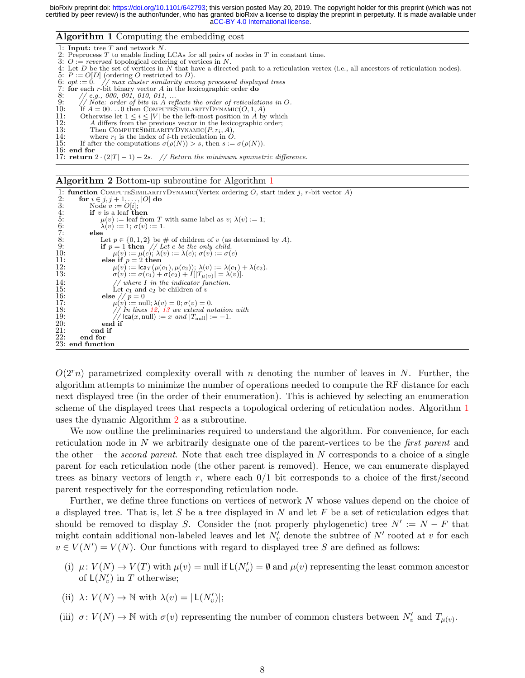#### Algorithm 1 Computing the embedding cost



#### <span id="page-7-0"></span>Algorithm 2 Bottom-up subroutine for Algorithm [1](#page-7-0)

```
1: function COMPUTESIMILARITYDYNAMIC(Vertex ordering O, start index j, r-bit vector A) 2: for i \in j, j + 1, ..., |O| do
 2: for i \in j, j + 1, ..., |O| do<br>3: Node v := O[i];
 3: Node v := O[i];<br>4: if v is a leaf th<br>5: \mu(v) := \text{leaf}if v is a leaf then
 5: \mu(v) := \text{leaf from } T \text{ with same label as } v; \lambda(v) := 1;<br>
6: \lambda(v) := 1; \sigma(v) := 1.<br>
8: else<br>
Let p \in \{0, 1, 2\} be # of children of v (as determined<br>
9: if p = 1 then // Let c be the only child.
                              \lambda(v) := 1; \sigma(v) := 1.else
8: Let p \in \{0, 1, 2\} be # of children of v (as determined by A).<br>
9: if p = 1 then // Let c be the only child.<br>
10: \mu(v) := \mu(c); \lambda(v) := \lambda(c); \sigma(v) := \sigma(c)<br>
11: else if p = 2 then
12: \mu(v) := \mathsf{lca}_T(\mu(c_1), \mu(c_2)); \lambda(v) := \lambda(c_1) + \lambda(c_2).<br>
13: \sigma(v) := \sigma(c_1) + \sigma(c_2) + I[|T_{\mu(v)}| = \lambda(v)].14: // where I in the indicator function.<br>15: Let c_1 and c_2 be children of v
16: else \frac{1}{p} = 0<br>17: \mu(v) := \text{nu}<br>18: \frac{1}{p} = \text{nu}17: \mu(v) := \text{null}; \lambda(v) = 0; \sigma(v) = 0.12,13 we extend notation with<br>
19: // lca(x, null) := x and |T<sub>null</sub>| := -1.
2\overline{0}: end if<br>21: end if
21: end if 22: end for
                end for
23: end function
```
<span id="page-7-1"></span> $O(2<sup>r</sup>n)$  parametrized complexity overall with n denoting the number of leaves in N. Further, the algorithm attempts to minimize the number of operations needed to compute the RF distance for each next displayed tree (in the order of their enumeration). This is achieved by selecting an enumeration scheme of the displayed trees that respects a topological ordering of reticulation nodes. Algorithm [1](#page-7-0) uses the dynamic Algorithm [2](#page-7-1) as a subroutine.

We now outline the preliminaries required to understand the algorithm. For convenience, for each reticulation node in  $N$  we arbitrarily designate one of the parent-vertices to be the *first parent* and the other – the *second parent*. Note that each tree displayed in N corresponds to a choice of a single parent for each reticulation node (the other parent is removed). Hence, we can enumerate displayed trees as binary vectors of length r, where each  $0/1$  bit corresponds to a choice of the first/second parent respectively for the corresponding reticulation node.

Further, we define three functions on vertices of network N whose values depend on the choice of a displayed tree. That is, let S be a tree displayed in N and let F be a set of reticulation edges that should be removed to display S. Consider the (not properly phylogenetic) tree  $N' := N - F$  that might contain additional non-labeled leaves and let  $N'_v$  denote the subtree of  $N'$  rooted at v for each  $v \in V(N') = V(N)$ . Our functions with regard to displayed tree S are defined as follows:

- (i)  $\mu: V(N) \to V(T)$  with  $\mu(v) = \text{null if } \mathsf{L}(N'_v) = \emptyset$  and  $\mu(v)$  representing the least common ancestor of  $\mathsf{L}(N'_v)$  in T otherwise;
- (ii)  $\lambda\colon V(N)\to \mathbb{N}$  with  $\lambda(v)=|\mathsf{L}(N'_{v})|;$
- (iii)  $\sigma: V(N) \to \mathbb{N}$  with  $\sigma(v)$  representing the number of common clusters between  $N_v'$  and  $T_{\mu(v)}$ .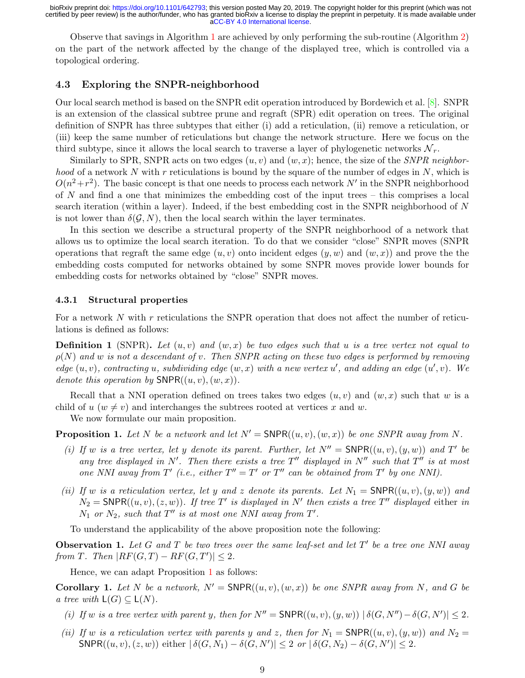Observe that savings in Algorithm [1](#page-7-0) are achieved by only performing the sub-routine (Algorithm [2\)](#page-7-1) on the part of the network affected by the change of the displayed tree, which is controlled via a topological ordering.

# 4.3 Exploring the SNPR-neighborhood

Our local search method is based on the SNPR edit operation introduced by Bordewich et al. [\[8\]](#page-13-6). SNPR is an extension of the classical subtree prune and regraft (SPR) edit operation on trees. The original definition of SNPR has three subtypes that either (i) add a reticulation, (ii) remove a reticulation, or (iii) keep the same number of reticulations but change the network structure. Here we focus on the third subtype, since it allows the local search to traverse a layer of phylogenetic networks  $\mathcal{N}_r$ .

Similarly to SPR, SNPR acts on two edges  $(u, v)$  and  $(w, x)$ ; hence, the size of the SNPR neighbor*hood* of a network N with r reticulations is bound by the square of the number of edges in N, which is  $O(n^2+r^2)$ . The basic concept is that one needs to process each network N' in the SNPR neighborhood of  $N$  and find a one that minimizes the embedding cost of the input trees – this comprises a local search iteration (within a layer). Indeed, if the best embedding cost in the SNPR neighborhood of N is not lower than  $\delta(G, N)$ , then the local search within the layer terminates.

In this section we describe a structural property of the SNPR neighborhood of a network that allows us to optimize the local search iteration. To do that we consider "close" SNPR moves (SNPR operations that regraft the same edge  $(u, v)$  onto incident edges  $(y, w)$  and  $(w, x)$ ) and prove the the embedding costs computed for networks obtained by some SNPR moves provide lower bounds for embedding costs for networks obtained by "close" SNPR moves.

#### 4.3.1 Structural properties

For a network N with r reticulations the SNPR operation that does not affect the number of reticulations is defined as follows:

**Definition 1** (SNPR). Let  $(u, v)$  and  $(w, x)$  be two edges such that u is a tree vertex not equal to  $\rho(N)$  and w is not a descendant of v. Then SNPR acting on these two edges is performed by removing edge  $(u, v)$ , contracting u, subdividing edge  $(w, x)$  with a new vertex u', and adding an edge  $(u', v)$ . We denote this operation by  $\mathsf{SNPR}((u, v), (w, x)).$ 

Recall that a NNI operation defined on trees takes two edges  $(u, v)$  and  $(w, x)$  such that w is a child of  $u \, (w \neq v)$  and interchanges the subtrees rooted at vertices x and w.

We now formulate our main proposition.

<span id="page-8-0"></span>**Proposition 1.** Let N be a network and let  $N' = \text{SNPR}((u, v), (w, x))$  be one SNPR away from N.

- (i) If w is a tree vertex, let y denote its parent. Further, let  $N'' = \text{SNPR}((u, v), (y, w))$  and T' be any tree displayed in N'. Then there exists a tree  $T''$  displayed in N'' such that  $T''$  is at most one NNI away from T' (i.e., either  $T'' = T'$  or  $T''$  can be obtained from T' by one NNI).
- (ii) If w is a reticulation vertex, let y and z denote its parents. Let  $N_1 = \text{SNPR}((u, v), (y, w))$  and  $N_2 = \text{SNPR}((u, v), (z, w))$ . If tree T' is displayed in N' then exists a tree T'' displayed either in  $N_1$  or  $N_2$ , such that  $T''$  is at most one NNI away from  $T'$ .

To understand the applicability of the above proposition note the following:

**Observation 1.** Let G and T be two trees over the same leaf-set and let  $T'$  be a tree one NNI away from T. Then  $|RF(G,T) - RF(G,T')| \leq 2$ .

Hence, we can adapt Proposition [1](#page-8-0) as follows:

<span id="page-8-1"></span>**Corollary 1.** Let N be a network,  $N' = \text{SNPR}((u, v), (w, x))$  be one SNPR away from N, and G be a tree with  $\mathsf{L}(G) \subseteq \mathsf{L}(N)$ .

- (i) If w is a tree vertex with parent y, then for  $N'' = \text{SNPR}((u, v), (y, w)) |\delta(G, N'') \delta(G, N')| \leq 2$ .
- (ii) If w is a reticulation vertex with parents y and z, then for  $N_1 = \text{SNPR}((u, v), (y, w))$  and  $N_2 =$  $\text{SNPR}((u, v), (z, w))$  either  $|\delta(G, N_1) - \delta(G, N')| \leq 2$  or  $|\delta(G, N_2) - \delta(G, N')| \leq 2$ .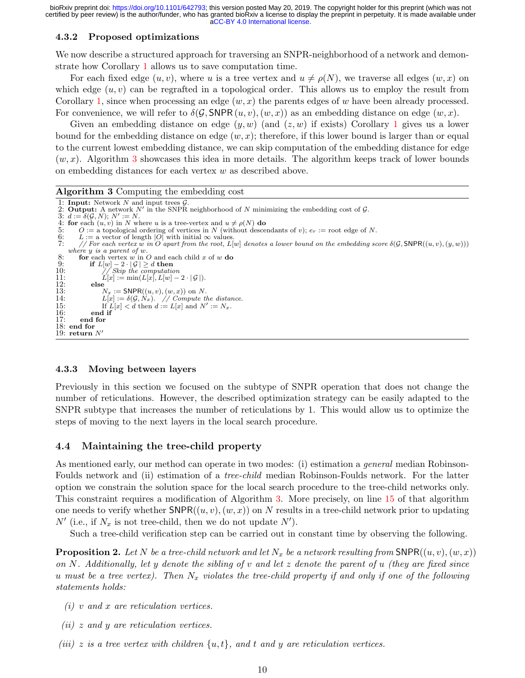### <span id="page-9-1"></span>4.3.2 Proposed optimizations

We now describe a structured approach for traversing an SNPR-neighborhood of a network and demonstrate how Corollary [1](#page-8-1) allows us to save computation time.

For each fixed edge  $(u, v)$ , where u is a tree vertex and  $u \neq \rho(N)$ , we traverse all edges  $(w, x)$  on which edge  $(u, v)$  can be regrafted in a topological order. This allows us to employ the result from Corollary [1,](#page-8-1) since when processing an edge  $(w, x)$  the parents edges of w have been already processed. For convenience, we will refer to  $\delta(\mathcal{G}, \text{SNPR}(u, v), (w, x))$  as an embedding distance on edge  $(w, x)$ .

Given an embedding distance on edge  $(y, w)$  (and  $(z, w)$  if exists) Corollary [1](#page-8-1) gives us a lower bound for the embedding distance on edge  $(w, x)$ ; therefore, if this lower bound is larger than or equal to the current lowest embedding distance, we can skip computation of the embedding distance for edge  $(w, x)$ . Algorithm [3](#page-9-0) showcases this idea in more details. The algorithm keeps track of lower bounds on embedding distances for each vertex w as described above.

#### Algorithm 3 Computing the embedding cost

```
1: Input: Network N and input trees \mathcal{G}.
 2: Output: A network N' in the SNPR neighborhood of N minimizing the embedding cost of \mathcal G.
 3: d := \delta(\mathcal{G}, N); N' := N.4: for each (u, v) in N where u is a tree-vertex and u \neq \rho(N) do 5: O := a topological ordering of vertices in N (without desce
5: O := \hat{a} topological ordering of vertices in N (without descendants of v); e_r := \text{root edge of } N.<br>6: L := \hat{a} vector of length |O| with initial \infty values.<br>7: // For each vertex w in O apart from the root, L[w] denotes 
          L := a vector of length |O| with initial \infty values.
          // For each vertex w in O apart from the root, L[w] denotes a lower bound on the embedding score \delta(\mathcal{G}, \text{SNPR}((u, v), (y, w)))where y is a parent of w.
8: for each vertex w in O and each child x of w do<br>9: if L[w]-2\cdot|\mathcal{G}|>d then
9: if L[w] - 2 \cdot |\mathcal{G}| \ge d then <br>10: // Skip the computation
10: // Skip the computation<br>11: L[x] := min(L[x], L[w] -11: L[x] := \min(L[x], L[w] - 2 \cdot |G|).<br>12: else
12: else<br>13: \frac{1}{2}13: N_x := \text{SNPR}((u, v), (w, x)) on N.<br>14: L[x] := \delta(\mathcal{G}, N_x). // Compute the distance.
15: If L[x] < d then d := L[x] and N' := N_x.
16: end if
          end for
18: end for
19: return N'
```
#### <span id="page-9-0"></span>4.3.3 Moving between layers

Previously in this section we focused on the subtype of SNPR operation that does not change the number of reticulations. However, the described optimization strategy can be easily adapted to the SNPR subtype that increases the number of reticulations by 1. This would allow us to optimize the steps of moving to the next layers in the local search procedure.

### 4.4 Maintaining the tree-child property

As mentioned early, our method can operate in two modes: (i) estimation a *general* median Robinson-Foulds network and (ii) estimation of a tree-child median Robinson-Foulds network. For the latter option we constrain the solution space for the local search procedure to the tree-child networks only. This constraint requires a modification of Algorithm [3.](#page-9-0) More precisely, on line [15](#page-9-1) of that algorithm one needs to verify whether  $\text{SNPR}((u, v), (w, x))$  on N results in a tree-child network prior to updating  $N'$  (i.e., if  $N_x$  is not tree-child, then we do not update  $N'$ ).

Such a tree-child verification step can be carried out in constant time by observing the following.

**Proposition 2.** Let N be a tree-child network and let  $N_x$  be a network resulting from SNPR( $(u, v), (w, x)$ ) on N. Additionally, let y denote the sibling of v and let  $z$  denote the parent of u (they are fixed since u must be a tree vertex). Then  $N_x$  violates the tree-child property if and only if one of the following statements holds:

- $(i)$  v and x are reticulation vertices.
- $(ii)$  z and y are reticulation vertices.
- (iii) z is a tree vertex with children  $\{u, t\}$ , and t and y are reticulation vertices.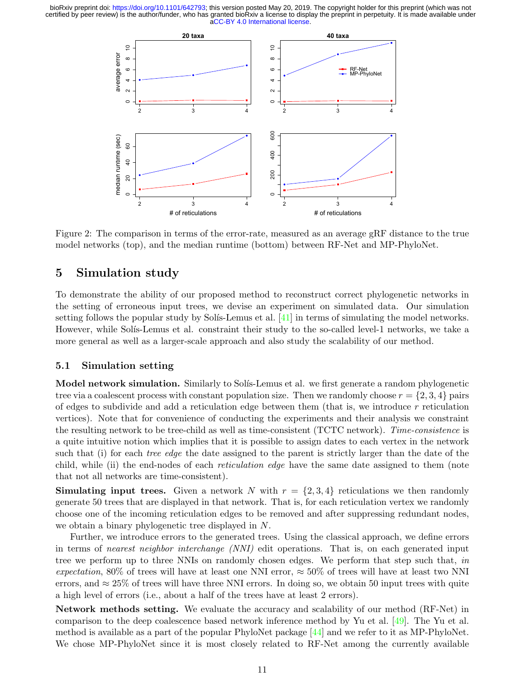<span id="page-10-0"></span>

Figure 2: The comparison in terms of the error-rate, measured as an average gRF distance to the true model networks (top), and the median runtime (bottom) between RF-Net and MP-PhyloNet.

# 5 Simulation study

To demonstrate the ability of our proposed method to reconstruct correct phylogenetic networks in the setting of erroneous input trees, we devise an experiment on simulated data. Our simulation setting follows the popular study by Solís-Lemus et al.  $[41]$  in terms of simulating the model networks. However, while Solís-Lemus et al. constraint their study to the so-called level-1 networks, we take a more general as well as a larger-scale approach and also study the scalability of our method.

## 5.1 Simulation setting

Model network simulation. Similarly to Solís-Lemus et al. we first generate a random phylogenetic tree via a coalescent process with constant population size. Then we randomly choose  $r = \{2, 3, 4\}$  pairs of edges to subdivide and add a reticulation edge between them (that is, we introduce  $r$  reticulation vertices). Note that for convenience of conducting the experiments and their analysis we constraint the resulting network to be tree-child as well as time-consistent (TCTC network). Time-consistence is a quite intuitive notion which implies that it is possible to assign dates to each vertex in the network such that (i) for each *tree edge* the date assigned to the parent is strictly larger than the date of the child, while (ii) the end-nodes of each *reticulation edge* have the same date assigned to them (note that not all networks are time-consistent).

**Simulating input trees.** Given a network N with  $r = \{2, 3, 4\}$  reticulations we then randomly generate 50 trees that are displayed in that network. That is, for each reticulation vertex we randomly choose one of the incoming reticulation edges to be removed and after suppressing redundant nodes, we obtain a binary phylogenetic tree displayed in N.

Further, we introduce errors to the generated trees. Using the classical approach, we define errors in terms of nearest neighbor interchange (NNI) edit operations. That is, on each generated input tree we perform up to three NNIs on randomly chosen edges. We perform that step such that, in expectation, 80% of trees will have at least one NNI error,  $\approx 50\%$  of trees will have at least two NNI errors, and  $\approx 25\%$  of trees will have three NNI errors. In doing so, we obtain 50 input trees with quite a high level of errors (i.e., about a half of the trees have at least 2 errors).

Network methods setting. We evaluate the accuracy and scalability of our method (RF-Net) in comparison to the deep coalescence based network inference method by Yu et al. [\[49\]](#page-16-2). The Yu et al. method is available as a part of the popular PhyloNet package [\[44\]](#page-15-11) and we refer to it as MP-PhyloNet. We chose MP-PhyloNet since it is most closely related to RF-Net among the currently available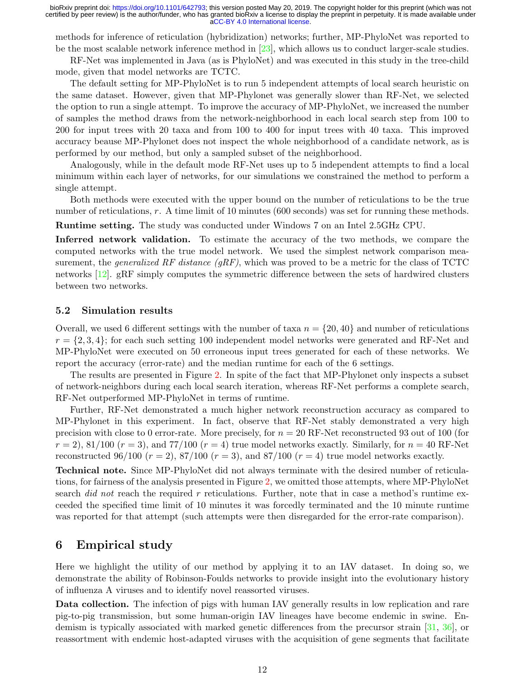methods for inference of reticulation (hybridization) networks; further, MP-PhyloNet was reported to be the most scalable network inference method in [\[23\]](#page-14-13), which allows us to conduct larger-scale studies.

RF-Net was implemented in Java (as is PhyloNet) and was executed in this study in the tree-child mode, given that model networks are TCTC.

The default setting for MP-PhyloNet is to run 5 independent attempts of local search heuristic on the same dataset. However, given that MP-Phylonet was generally slower than RF-Net, we selected the option to run a single attempt. To improve the accuracy of MP-PhyloNet, we increased the number of samples the method draws from the network-neighborhood in each local search step from 100 to 200 for input trees with 20 taxa and from 100 to 400 for input trees with 40 taxa. This improved accuracy beause MP-Phylonet does not inspect the whole neighborhood of a candidate network, as is performed by our method, but only a sampled subset of the neighborhood.

Analogously, while in the default mode RF-Net uses up to 5 independent attempts to find a local minimum within each layer of networks, for our simulations we constrained the method to perform a single attempt.

Both methods were executed with the upper bound on the number of reticulations to be the true number of reticulations, r. A time limit of 10 minutes (600 seconds) was set for running these methods.

Runtime setting. The study was conducted under Windows 7 on an Intel 2.5GHz CPU.

Inferred network validation. To estimate the accuracy of the two methods, we compare the computed networks with the true model network. We used the simplest network comparison measurement, the *generalized RF distance (gRF)*, which was proved to be a metric for the class of TCTC networks [\[12\]](#page-14-14). gRF simply computes the symmetric difference between the sets of hardwired clusters between two networks.

## 5.2 Simulation results

Overall, we used 6 different settings with the number of taxa  $n = \{20, 40\}$  and number of reticulations  $r = \{2, 3, 4\}$ ; for each such setting 100 independent model networks were generated and RF-Net and MP-PhyloNet were executed on 50 erroneous input trees generated for each of these networks. We report the accuracy (error-rate) and the median runtime for each of the 6 settings.

The results are presented in Figure [2.](#page-10-0) In spite of the fact that MP-Phylonet only inspects a subset of network-neighbors during each local search iteration, whereas RF-Net performs a complete search, RF-Net outperformed MP-PhyloNet in terms of runtime.

Further, RF-Net demonstrated a much higher network reconstruction accuracy as compared to MP-Phylonet in this experiment. In fact, observe that RF-Net stably demonstrated a very high precision with close to 0 error-rate. More precisely, for  $n = 20$  RF-Net reconstructed 93 out of 100 (for  $r = 2$ , 81/100 ( $r = 3$ ), and 77/100 ( $r = 4$ ) true model networks exactly. Similarly, for  $n = 40$  RF-Net reconstructed 96/100  $(r = 2)$ , 87/100  $(r = 3)$ , and 87/100  $(r = 4)$  true model networks exactly.

Technical note. Since MP-PhyloNet did not always terminate with the desired number of reticulations, for fairness of the analysis presented in Figure [2,](#page-10-0) we omitted those attempts, where MP-PhyloNet search *did not* reach the required r reticulations. Further, note that in case a method's runtime exceeded the specified time limit of 10 minutes it was forcedly terminated and the 10 minute runtime was reported for that attempt (such attempts were then disregarded for the error-rate comparison).

# 6 Empirical study

Here we highlight the utility of our method by applying it to an IAV dataset. In doing so, we demonstrate the ability of Robinson-Foulds networks to provide insight into the evolutionary history of influenza A viruses and to identify novel reassorted viruses.

Data collection. The infection of pigs with human IAV generally results in low replication and rare pig-to-pig transmission, but some human-origin IAV lineages have become endemic in swine. Endemism is typically associated with marked genetic differences from the precursor strain [\[31,](#page-15-12) [36\]](#page-15-13), or reassortment with endemic host-adapted viruses with the acquisition of gene segments that facilitate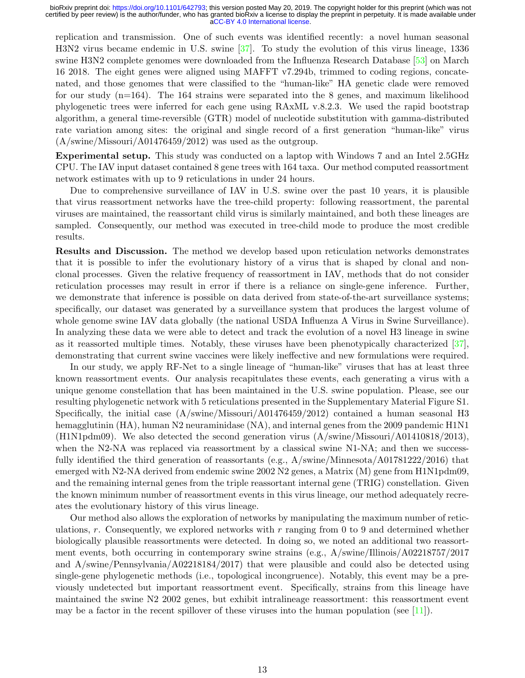replication and transmission. One of such events was identified recently: a novel human seasonal H3N2 virus became endemic in U.S. swine [\[37\]](#page-15-14). To study the evolution of this virus lineage, 1336 swine H3N2 complete genomes were downloaded from the Influenza Research Database [\[53\]](#page-16-8) on March 16 2018. The eight genes were aligned using MAFFT v7.294b, trimmed to coding regions, concatenated, and those genomes that were classified to the "human-like" HA genetic clade were removed for our study  $(n=164)$ . The 164 strains were separated into the 8 genes, and maximum likelihood phylogenetic trees were inferred for each gene using RAxML v.8.2.3. We used the rapid bootstrap algorithm, a general time-reversible (GTR) model of nucleotide substitution with gamma-distributed rate variation among sites: the original and single record of a first generation "human-like" virus (A/swine/Missouri/A01476459/2012) was used as the outgroup.

Experimental setup. This study was conducted on a laptop with Windows 7 and an Intel 2.5GHz CPU. The IAV input dataset contained 8 gene trees with 164 taxa. Our method computed reassortment network estimates with up to 9 reticulations in under 24 hours.

Due to comprehensive surveillance of IAV in U.S. swine over the past 10 years, it is plausible that virus reassortment networks have the tree-child property: following reassortment, the parental viruses are maintained, the reassortant child virus is similarly maintained, and both these lineages are sampled. Consequently, our method was executed in tree-child mode to produce the most credible results.

Results and Discussion. The method we develop based upon reticulation networks demonstrates that it is possible to infer the evolutionary history of a virus that is shaped by clonal and nonclonal processes. Given the relative frequency of reassortment in IAV, methods that do not consider reticulation processes may result in error if there is a reliance on single-gene inference. Further, we demonstrate that inference is possible on data derived from state-of-the-art surveillance systems; specifically, our dataset was generated by a surveillance system that produces the largest volume of whole genome swine IAV data globally (the national USDA Influenza A Virus in Swine Surveillance). In analyzing these data we were able to detect and track the evolution of a novel H3 lineage in swine as it reassorted multiple times. Notably, these viruses have been phenotypically characterized [\[37\]](#page-15-14), demonstrating that current swine vaccines were likely ineffective and new formulations were required.

In our study, we apply RF-Net to a single lineage of "human-like" viruses that has at least three known reassortment events. Our analysis recapitulates these events, each generating a virus with a unique genome constellation that has been maintained in the U.S. swine population. Please, see our resulting phylogenetic network with 5 reticulations presented in the Supplementary Material Figure S1. Specifically, the initial case  $(A/\text{swine/Missouri}/A01476459/2012)$  contained a human seasonal H3 hemagglutinin (HA), human N2 neuraminidase (NA), and internal genes from the 2009 pandemic H1N1 (H1N1pdm09). We also detected the second generation virus (A/swine/Missouri/A01410818/2013), when the N2-NA was replaced via reassortment by a classical swine N1-NA; and then we successfully identified the third generation of reassortants (e.g., A/swine/Minnesota/A01781222/2016) that emerged with N2-NA derived from endemic swine  $2002$  N2 genes, a Matrix  $(M)$  gene from H1N1pdm09, and the remaining internal genes from the triple reassortant internal gene (TRIG) constellation. Given the known minimum number of reassortment events in this virus lineage, our method adequately recreates the evolutionary history of this virus lineage.

Our method also allows the exploration of networks by manipulating the maximum number of reticulations,  $r$ . Consequently, we explored networks with  $r$  ranging from 0 to 9 and determined whether biologically plausible reassortments were detected. In doing so, we noted an additional two reassortment events, both occurring in contemporary swine strains (e.g., A/swine/Illinois/A02218757/2017 and A/swine/Pennsylvania/A02218184/2017) that were plausible and could also be detected using single-gene phylogenetic methods (i.e., topological incongruence). Notably, this event may be a previously undetected but important reassortment event. Specifically, strains from this lineage have maintained the swine N2 2002 genes, but exhibit intralineage reassortment: this reassortment event may be a factor in the recent spillover of these viruses into the human population (see  $[11]$ ).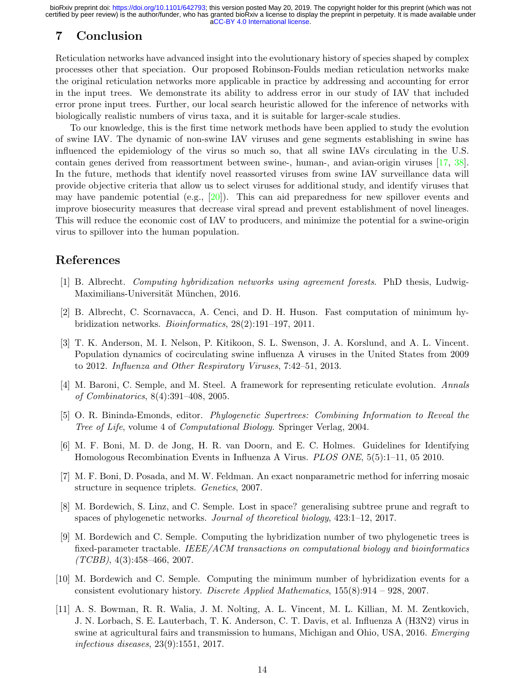# 7 Conclusion

Reticulation networks have advanced insight into the evolutionary history of species shaped by complex processes other that speciation. Our proposed Robinson-Foulds median reticulation networks make the original reticulation networks more applicable in practice by addressing and accounting for error in the input trees. We demonstrate its ability to address error in our study of IAV that included error prone input trees. Further, our local search heuristic allowed for the inference of networks with biologically realistic numbers of virus taxa, and it is suitable for larger-scale studies.

To our knowledge, this is the first time network methods have been applied to study the evolution of swine IAV. The dynamic of non-swine IAV viruses and gene segments establishing in swine has influenced the epidemiology of the virus so much so, that all swine IAVs circulating in the U.S. contain genes derived from reassortment between swine-, human-, and avian-origin viruses [\[17,](#page-14-15) [38\]](#page-15-15). In the future, methods that identify novel reassorted viruses from swine IAV surveillance data will provide objective criteria that allow us to select viruses for additional study, and identify viruses that may have pandemic potential (e.g.,  $[20]$ ). This can aid preparedness for new spillover events and improve biosecurity measures that decrease viral spread and prevent establishment of novel lineages. This will reduce the economic cost of IAV to producers, and minimize the potential for a swine-origin virus to spillover into the human population.

# References

- <span id="page-13-5"></span>[1] B. Albrecht. Computing hybridization networks using agreement forests. PhD thesis, Ludwig-Maximilians-Universität München, 2016.
- <span id="page-13-2"></span>[2] B. Albrecht, C. Scornavacca, A. Cenci, and D. H. Huson. Fast computation of minimum hybridization networks. Bioinformatics, 28(2):191–197, 2011.
- <span id="page-13-9"></span>[3] T. K. Anderson, M. I. Nelson, P. Kitikoon, S. L. Swenson, J. A. Korslund, and A. L. Vincent. Population dynamics of cocirculating swine influenza A viruses in the United States from 2009 to 2012. Influenza and Other Respiratory Viruses, 7:42–51, 2013.
- <span id="page-13-0"></span>[4] M. Baroni, C. Semple, and M. Steel. A framework for representing reticulate evolution. Annals of Combinatorics, 8(4):391–408, 2005.
- <span id="page-13-3"></span>[5] O. R. Bininda-Emonds, editor. Phylogenetic Supertrees: Combining Information to Reveal the Tree of Life, volume 4 of Computational Biology. Springer Verlag, 2004.
- <span id="page-13-7"></span>[6] M. F. Boni, M. D. de Jong, H. R. van Doorn, and E. C. Holmes. Guidelines for Identifying Homologous Recombination Events in Influenza A Virus. PLOS ONE, 5(5):1–11, 05 2010.
- <span id="page-13-8"></span>[7] M. F. Boni, D. Posada, and M. W. Feldman. An exact nonparametric method for inferring mosaic structure in sequence triplets. Genetics, 2007.
- <span id="page-13-6"></span>[8] M. Bordewich, S. Linz, and C. Semple. Lost in space? generalising subtree prune and regraft to spaces of phylogenetic networks. Journal of theoretical biology, 423:1–12, 2017.
- <span id="page-13-4"></span>[9] M. Bordewich and C. Semple. Computing the hybridization number of two phylogenetic trees is fixed-parameter tractable. IEEE/ACM transactions on computational biology and bioinformatics  $(TCBB), 4(3):458-466, 2007.$
- <span id="page-13-1"></span>[10] M. Bordewich and C. Semple. Computing the minimum number of hybridization events for a consistent evolutionary history. Discrete Applied Mathematics, 155(8):914 – 928, 2007.
- <span id="page-13-10"></span>[11] A. S. Bowman, R. R. Walia, J. M. Nolting, A. L. Vincent, M. L. Killian, M. M. Zentkovich, J. N. Lorbach, S. E. Lauterbach, T. K. Anderson, C. T. Davis, et al. Influenza A (H3N2) virus in swine at agricultural fairs and transmission to humans, Michigan and Ohio, USA, 2016. Emerging infectious diseases, 23(9):1551, 2017.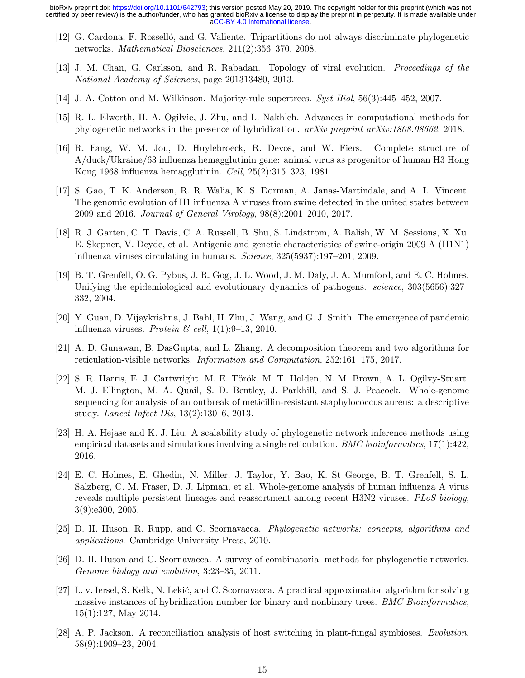- <span id="page-14-14"></span>[12] G. Cardona, F. Rosselló, and G. Valiente. Tripartitions do not always discriminate phylogenetic networks. Mathematical Biosciences, 211(2):356–370, 2008.
- <span id="page-14-10"></span>[13] J. M. Chan, G. Carlsson, and R. Rabadan. Topology of viral evolution. Proceedings of the National Academy of Sciences, page 201313480, 2013.
- <span id="page-14-11"></span>[14] J. A. Cotton and M. Wilkinson. Majority-rule supertrees. Syst Biol, 56(3):445–452, 2007.
- <span id="page-14-7"></span>[15] R. L. Elworth, H. A. Ogilvie, J. Zhu, and L. Nakhleh. Advances in computational methods for phylogenetic networks in the presence of hybridization. arXiv preprint arXiv:1808.08662, 2018.
- <span id="page-14-5"></span>[16] R. Fang, W. M. Jou, D. Huylebroeck, R. Devos, and W. Fiers. Complete structure of A/duck/Ukraine/63 influenza hemagglutinin gene: animal virus as progenitor of human H3 Hong Kong 1968 influenza hemagglutinin. Cell, 25(2):315–323, 1981.
- <span id="page-14-15"></span>[17] S. Gao, T. K. Anderson, R. R. Walia, K. S. Dorman, A. Janas-Martindale, and A. L. Vincent. The genomic evolution of H1 influenza A viruses from swine detected in the united states between 2009 and 2016. Journal of General Virology, 98(8):2001–2010, 2017.
- <span id="page-14-3"></span>[18] R. J. Garten, C. T. Davis, C. A. Russell, B. Shu, S. Lindstrom, A. Balish, W. M. Sessions, X. Xu, E. Skepner, V. Deyde, et al. Antigenic and genetic characteristics of swine-origin 2009 A (H1N1) influenza viruses circulating in humans. Science, 325(5937):197–201, 2009.
- <span id="page-14-0"></span>[19] B. T. Grenfell, O. G. Pybus, J. R. Gog, J. L. Wood, J. M. Daly, J. A. Mumford, and E. C. Holmes. Unifying the epidemiological and evolutionary dynamics of pathogens. *science*, 303(5656):327– 332, 2004.
- <span id="page-14-16"></span>[20] Y. Guan, D. Vijaykrishna, J. Bahl, H. Zhu, J. Wang, and G. J. Smith. The emergence of pandemic influenza viruses. Protein & cell,  $1(1):9-13$ , 2010.
- <span id="page-14-12"></span>[21] A. D. Gunawan, B. DasGupta, and L. Zhang. A decomposition theorem and two algorithms for reticulation-visible networks. Information and Computation, 252:161–175, 2017.
- <span id="page-14-1"></span>[22] S. R. Harris, E. J. Cartwright, M. E. Török, M. T. Holden, N. M. Brown, A. L. Ogilvy-Stuart, M. J. Ellington, M. A. Quail, S. D. Bentley, J. Parkhill, and S. J. Peacock. Whole-genome sequencing for analysis of an outbreak of meticillin-resistant staphylococcus aureus: a descriptive study. Lancet Infect Dis, 13(2):130–6, 2013.
- <span id="page-14-13"></span>[23] H. A. Hejase and K. J. Liu. A scalability study of phylogenetic network inference methods using empirical datasets and simulations involving a single reticulation. BMC bioinformatics,  $17(1):422$ , 2016.
- <span id="page-14-9"></span>[24] E. C. Holmes, E. Ghedin, N. Miller, J. Taylor, Y. Bao, K. St George, B. T. Grenfell, S. L. Salzberg, C. M. Fraser, D. J. Lipman, et al. Whole-genome analysis of human influenza A virus reveals multiple persistent lineages and reassortment among recent H3N2 viruses. PLoS biology, 3(9):e300, 2005.
- <span id="page-14-4"></span>[25] D. H. Huson, R. Rupp, and C. Scornavacca. Phylogenetic networks: concepts, algorithms and applications. Cambridge University Press, 2010.
- <span id="page-14-6"></span>[26] D. H. Huson and C. Scornavacca. A survey of combinatorial methods for phylogenetic networks. Genome biology and evolution, 3:23–35, 2011.
- <span id="page-14-8"></span>[27] L. v. Iersel, S. Kelk, N. Lekić, and C. Scornavacca. A practical approximation algorithm for solving massive instances of hybridization number for binary and nonbinary trees. BMC Bioinformatics, 15(1):127, May 2014.
- <span id="page-14-2"></span>[28] A. P. Jackson. A reconciliation analysis of host switching in plant-fungal symbioses. Evolution, 58(9):1909–23, 2004.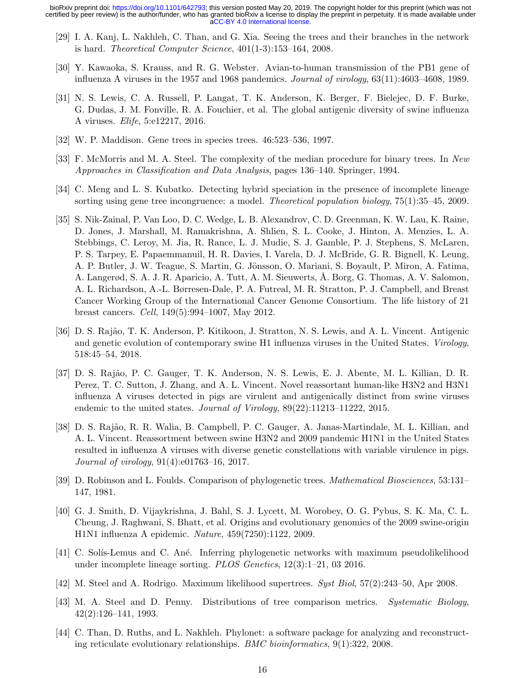- <span id="page-15-9"></span>[29] I. A. Kanj, L. Nakhleh, C. Than, and G. Xia. Seeing the trees and their branches in the network is hard. *Theoretical Computer Science*,  $401(1-3):153-164$ ,  $2008$ .
- <span id="page-15-1"></span>[30] Y. Kawaoka, S. Krauss, and R. G. Webster. Avian-to-human transmission of the PB1 gene of influenza A viruses in the 1957 and 1968 pandemics. Journal of virology, 63(11):4603–4608, 1989.
- <span id="page-15-12"></span>[31] N. S. Lewis, C. A. Russell, P. Langat, T. K. Anderson, K. Berger, F. Bielejec, D. F. Burke, G. Dudas, J. M. Fonville, R. A. Fouchier, et al. The global antigenic diversity of swine influenza A viruses. Elife, 5:e12217, 2016.
- <span id="page-15-6"></span>[32] W. P. Maddison. Gene trees in species trees. 46:523–536, 1997.
- <span id="page-15-10"></span>[33] F. McMorris and M. A. Steel. The complexity of the median procedure for binary trees. In New Approaches in Classification and Data Analysis, pages 136–140. Springer, 1994.
- <span id="page-15-4"></span>[34] C. Meng and L. S. Kubatko. Detecting hybrid speciation in the presence of incomplete lineage sorting using gene tree incongruence: a model. Theoretical population biology, 75(1):35–45, 2009.
- <span id="page-15-0"></span>[35] S. Nik-Zainal, P. Van Loo, D. C. Wedge, L. B. Alexandrov, C. D. Greenman, K. W. Lau, K. Raine, D. Jones, J. Marshall, M. Ramakrishna, A. Shlien, S. L. Cooke, J. Hinton, A. Menzies, L. A. Stebbings, C. Leroy, M. Jia, R. Rance, L. J. Mudie, S. J. Gamble, P. J. Stephens, S. McLaren, P. S. Tarpey, E. Papaemmanuil, H. R. Davies, I. Varela, D. J. McBride, G. R. Bignell, K. Leung, A. P. Butler, J. W. Teague, S. Martin, G. Jönsson, O. Mariani, S. Boyault, P. Miron, A. Fatima, A. Langerød, S. A. J. R. Aparicio, A. Tutt, A. M. Sieuwerts, A. Borg, G. Thomas, A. V. Salomon, A. L. Richardson, A.-L. Børresen-Dale, P. A. Futreal, M. R. Stratton, P. J. Campbell, and Breast Cancer Working Group of the International Cancer Genome Consortium. The life history of 21 breast cancers. Cell, 149(5):994–1007, May 2012.
- <span id="page-15-13"></span>[36] D. S. Raj˜ao, T. K. Anderson, P. Kitikoon, J. Stratton, N. S. Lewis, and A. L. Vincent. Antigenic and genetic evolution of contemporary swine H1 influenza viruses in the United States. Virology, 518:45–54, 2018.
- <span id="page-15-14"></span>[37] D. S. Rajão, P. C. Gauger, T. K. Anderson, N. S. Lewis, E. J. Abente, M. L. Killian, D. R. Perez, T. C. Sutton, J. Zhang, and A. L. Vincent. Novel reassortant human-like H3N2 and H3N1 influenza A viruses detected in pigs are virulent and antigenically distinct from swine viruses endemic to the united states. Journal of Virology, 89(22):11213–11222, 2015.
- <span id="page-15-15"></span>[38] D. S. Rajão, R. R. Walia, B. Campbell, P. C. Gauger, A. Janas-Martindale, M. L. Killian, and A. L. Vincent. Reassortment between swine H3N2 and 2009 pandemic H1N1 in the United States resulted in influenza A viruses with diverse genetic constellations with variable virulence in pigs. Journal of virology, 91(4):e01763–16, 2017.
- <span id="page-15-7"></span>[39] D. Robinson and L. Foulds. Comparison of phylogenetic trees. Mathematical Biosciences, 53:131– 147, 1981.
- <span id="page-15-2"></span>[40] G. J. Smith, D. Vijaykrishna, J. Bahl, S. J. Lycett, M. Worobey, O. G. Pybus, S. K. Ma, C. L. Cheung, J. Raghwani, S. Bhatt, et al. Origins and evolutionary genomics of the 2009 swine-origin H1N1 influenza A epidemic. Nature, 459(7250):1122, 2009.
- <span id="page-15-5"></span>[41] C. Solís-Lemus and C. Ané. Inferring phylogenetic networks with maximum pseudolikelihood under incomplete lineage sorting. PLOS Genetics, 12(3):1–21, 03 2016.
- <span id="page-15-3"></span>[42] M. Steel and A. Rodrigo. Maximum likelihood supertrees. Syst Biol, 57(2):243–50, Apr 2008.
- <span id="page-15-8"></span>[43] M. A. Steel and D. Penny. Distributions of tree comparison metrics. Systematic Biology, 42(2):126–141, 1993.
- <span id="page-15-11"></span>[44] C. Than, D. Ruths, and L. Nakhleh. Phylonet: a software package for analyzing and reconstructing reticulate evolutionary relationships. BMC bioinformatics, 9(1):322, 2008.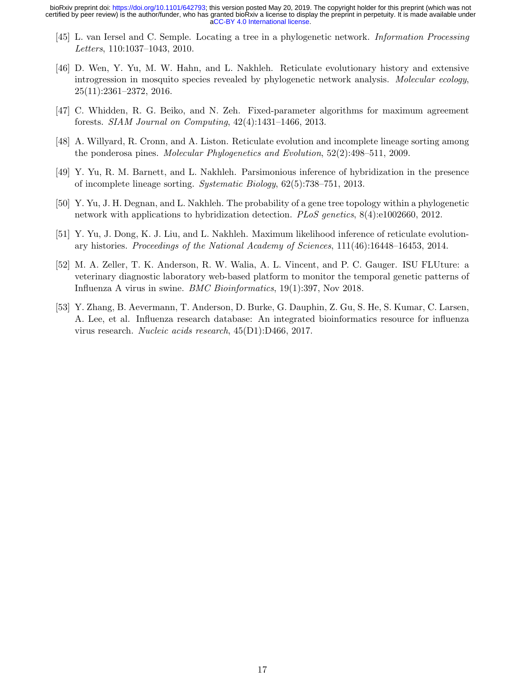- <span id="page-16-7"></span>[45] L. van Iersel and C. Semple. Locating a tree in a phylogenetic network. Information Processing Letters, 110:1037–1043, 2010.
- <span id="page-16-0"></span>[46] D. Wen, Y. Yu, M. W. Hahn, and L. Nakhleh. Reticulate evolutionary history and extensive introgression in mosquito species revealed by phylogenetic network analysis. Molecular ecology, 25(11):2361–2372, 2016.
- <span id="page-16-3"></span>[47] C. Whidden, R. G. Beiko, and N. Zeh. Fixed-parameter algorithms for maximum agreement forests. SIAM Journal on Computing, 42(4):1431–1466, 2013.
- <span id="page-16-1"></span>[48] A. Willyard, R. Cronn, and A. Liston. Reticulate evolution and incomplete lineage sorting among the ponderosa pines. Molecular Phylogenetics and Evolution, 52(2):498–511, 2009.
- <span id="page-16-2"></span>[49] Y. Yu, R. M. Barnett, and L. Nakhleh. Parsimonious inference of hybridization in the presence of incomplete lineage sorting. Systematic Biology, 62(5):738–751, 2013.
- <span id="page-16-4"></span>[50] Y. Yu, J. H. Degnan, and L. Nakhleh. The probability of a gene tree topology within a phylogenetic network with applications to hybridization detection. *PLoS genetics*,  $8(4)$ :e1002660, 2012.
- <span id="page-16-5"></span>[51] Y. Yu, J. Dong, K. J. Liu, and L. Nakhleh. Maximum likelihood inference of reticulate evolutionary histories. Proceedings of the National Academy of Sciences, 111(46):16448–16453, 2014.
- <span id="page-16-6"></span>[52] M. A. Zeller, T. K. Anderson, R. W. Walia, A. L. Vincent, and P. C. Gauger. ISU FLUture: a veterinary diagnostic laboratory web-based platform to monitor the temporal genetic patterns of Influenza A virus in swine. BMC Bioinformatics, 19(1):397, Nov 2018.
- <span id="page-16-8"></span>[53] Y. Zhang, B. Aevermann, T. Anderson, D. Burke, G. Dauphin, Z. Gu, S. He, S. Kumar, C. Larsen, A. Lee, et al. Influenza research database: An integrated bioinformatics resource for influenza virus research. Nucleic acids research, 45(D1):D466, 2017.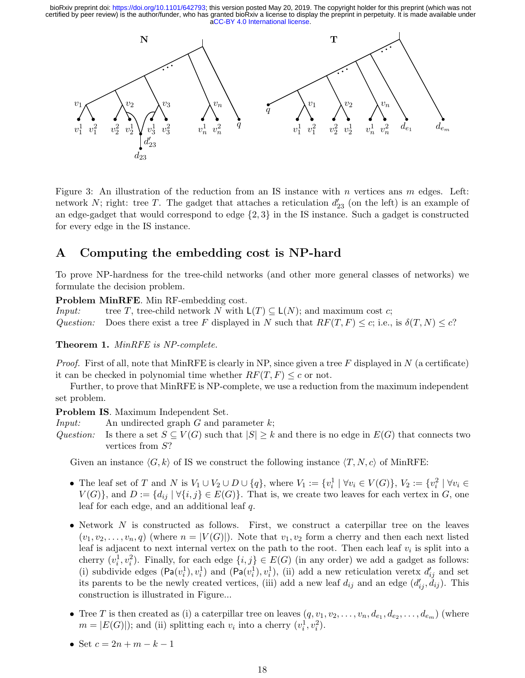

Figure 3: An illustration of the reduction from an IS instance with n vertices ans m edges. Left: network N; right: tree T. The gadget that attaches a reticulation  $d'_{23}$  (on the left) is an example of an edge-gadget that would correspond to edge  $\{2,3\}$  in the IS instance. Such a gadget is constructed for every edge in the IS instance.

# <span id="page-17-0"></span>A Computing the embedding cost is NP-hard

To prove NP-hardness for the tree-child networks (and other more general classes of networks) we formulate the decision problem.

Problem MinRFE. Min RF-embedding cost.

*Input:* tree T, tree-child network N with  $L(T) \subseteq L(N)$ ; and maximum cost c; Question: Does there exist a tree F displayed in N such that  $RF(T, F) \leq c$ ; i.e., is  $\delta(T, N) \leq c$ ?

Theorem 1. MinRFE is NP-complete.

*Proof.* First of all, note that MinRFE is clearly in NP, since given a tree F displayed in N (a certificate) it can be checked in polynomial time whether  $RF(T, F) \leq c$  or not.

Further, to prove that MinRFE is NP-complete, we use a reduction from the maximum independent set problem.

Problem IS. Maximum Independent Set.

*Input:* An undirected graph  $G$  and parameter  $k$ ;

Question: Is there a set  $S \subseteq V(G)$  such that  $|S| \geq k$  and there is no edge in  $E(G)$  that connects two vertices from S?

Given an instance  $\langle G, k \rangle$  of IS we construct the following instance  $\langle T, N, c \rangle$  of MinRFE:

- The leaf set of T and N is  $V_1 \cup V_2 \cup D \cup \{q\}$ , where  $V_1 := \{v_i^1 \mid \forall v_i \in V(G)\}\$ ,  $V_2 := \{v_i^2 \mid \forall v_i \in V(G)\}$  $V(G)$ , and  $D := \{d_{ij} | \forall \{i, j\} \in E(G)\}\$ . That is, we create two leaves for each vertex in G, one leaf for each edge, and an additional leaf q.
- Network  $N$  is constructed as follows. First, we construct a caterpillar tree on the leaves  $(v_1, v_2, \ldots, v_n, q)$  (where  $n = |V(G)|$ ). Note that  $v_1, v_2$  form a cherry and then each next listed leaf is adjacent to next internal vertex on the path to the root. Then each leaf  $v_i$  is split into a cherry  $(v_i^1, v_i^2)$ . Finally, for each edge  $\{i, j\} \in E(G)$  (in any order) we add a gadget as follows: (i) subdivide edges  $(\text{Pa}(v_i^1), v_i^1)$  and  $(\text{Pa}(v_i^1), v_i^1)$ , (ii) add a new reticulation veretx  $d'_{ij}$  and set its parents to be the newly created vertices, (iii) add a new leaf  $d_{ij}$  and an edge  $(d'_{ij}, \dot{d}_{ij})$ . This construction is illustrated in Figure...
- Tree T is then created as (i) a caterpillar tree on leaves  $(q, v_1, v_2, \ldots, v_n, d_{e_1}, d_{e_2}, \ldots, d_{e_m})$  (where  $m = |E(G)|$ ; and (ii) splitting each  $v_i$  into a cherry  $(v_i^1, v_i^2)$ .
- Set  $c = 2n + m k 1$